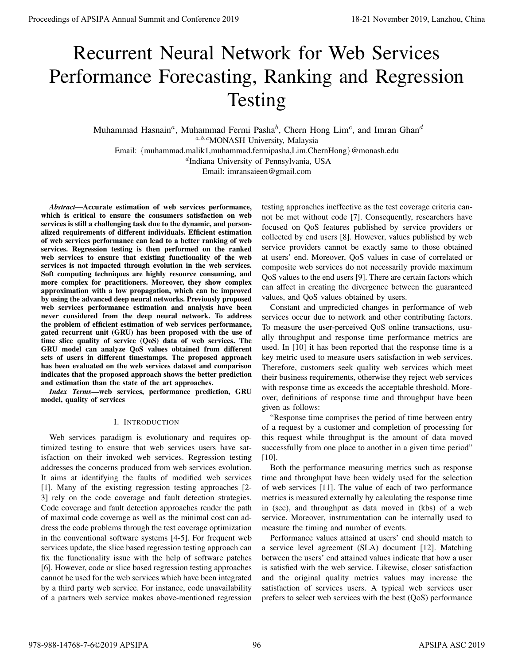# Recurrent Neural Network for Web Services Performance Forecasting, Ranking and Regression Testing

Muhammad Hasnain<sup>a</sup>, Muhammad Fermi Pasha<sup>b</sup>, Chern Hong Lim<sup>c</sup>, and Imran Ghan<sup>d</sup> a,b,cMONASH University, Malaysia Email: {muhammad.malik1,muhammad.fermipasha,Lim.ChernHong}@monash.edu d Indiana University of Pennsylvania, USA Email: imransaieen@gmail.com

*Abstract*—Accurate estimation of web services performance, which is critical to ensure the consumers satisfaction on web services is still a challenging task due to the dynamic, and personalized requirements of different individuals. Efficient estimation of web services performance can lead to a better ranking of web services. Regression testing is then performed on the ranked web services to ensure that existing functionality of the web services is not impacted through evolution in the web services. Soft computing techniques are highly resource consuming, and more complex for practitioners. Moreover, they show complex approximation with a low propagation, which can be improved by using the advanced deep neural networks. Previously proposed web services performance estimation and analysis have been never considered from the deep neural network. To address the problem of efficient estimation of web services performance, gated recurrent unit (GRU) has been proposed with the use of time slice quality of service (QoS) data of web services. The GRU model can analyze QoS values obtained from different sets of users in different timestamps. The proposed approach has been evaluated on the web services dataset and comparison indicates that the proposed approach shows the better prediction and estimation than the state of the art approaches. Proceedings of APSIPA are entired in the time of Conference 2019. The spectral contents of the spectral contents of the spectra contents of the spectra contents of the spectra contents of the spectra contents of the spect

*Index Terms*—web services, performance prediction, GRU model, quality of services

# I. INTRODUCTION

Web services paradigm is evolutionary and requires optimized testing to ensure that web services users have satisfaction on their invoked web services. Regression testing addresses the concerns produced from web services evolution. It aims at identifying the faults of modified web services [1]. Many of the existing regression testing approaches [2- 3] rely on the code coverage and fault detection strategies. Code coverage and fault detection approaches render the path of maximal code coverage as well as the minimal cost can address the code problems through the test coverage optimization in the conventional software systems [4-5]. For frequent web services update, the slice based regression testing approach can fix the functionality issue with the help of software patches [6]. However, code or slice based regression testing approaches cannot be used for the web services which have been integrated by a third party web service. For instance, code unavailability of a partners web service makes above-mentioned regression

testing approaches ineffective as the test coverage criteria cannot be met without code [7]. Consequently, researchers have focused on QoS features published by service providers or collected by end users [8]. However, values published by web service providers cannot be exactly same to those obtained at users' end. Moreover, QoS values in case of correlated or composite web services do not necessarily provide maximum QoS values to the end users [9]. There are certain factors which can affect in creating the divergence between the guaranteed values, and QoS values obtained by users.

Constant and unpredicted changes in performance of web services occur due to network and other contributing factors. To measure the user-perceived QoS online transactions, usually throughput and response time performance metrics are used. In [10] it has been reported that the response time is a key metric used to measure users satisfaction in web services. Therefore, customers seek quality web services which meet their business requirements, otherwise they reject web services with response time as exceeds the acceptable threshold. Moreover, definitions of response time and throughput have been given as follows:

"Response time comprises the period of time between entry of a request by a customer and completion of processing for this request while throughput is the amount of data moved successfully from one place to another in a given time period" [10].

Both the performance measuring metrics such as response time and throughput have been widely used for the selection of web services [11]. The value of each of two performance metrics is measured externally by calculating the response time in (sec), and throughput as data moved in (kbs) of a web service. Moreover, instrumentation can be internally used to measure the timing and number of events.

Performance values attained at users' end should match to a service level agreement (SLA) document [12]. Matching between the users' end attained values indicate that how a user is satisfied with the web service. Likewise, closer satisfaction and the original quality metrics values may increase the satisfaction of services users. A typical web services user prefers to select web services with the best (QoS) performance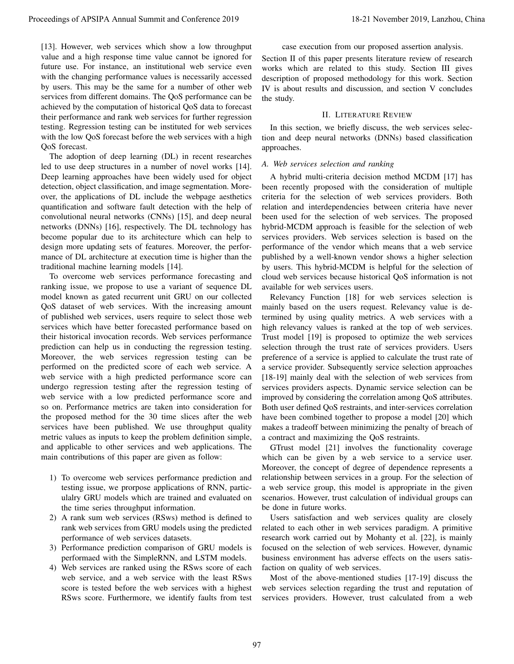[13]. However, web services which show a low throughput value and a high response time value cannot be ignored for future use. For instance, an institutional web service even with the changing performance values is necessarily accessed by users. This may be the same for a number of other web services from different domains. The QoS performance can be achieved by the computation of historical QoS data to forecast their performance and rank web services for further regression testing. Regression testing can be instituted for web services with the low QoS forecast before the web services with a high QoS forecast.

The adoption of deep learning (DL) in recent researches led to use deep structures in a number of novel works [14]. Deep learning approaches have been widely used for object detection, object classification, and image segmentation. Moreover, the applications of DL include the webpage aesthetics quantification and software fault detection with the help of convolutional neural networks (CNNs) [15], and deep neural networks (DNNs) [16], respectively. The DL technology has become popular due to its architecture which can help to design more updating sets of features. Moreover, the performance of DL architecture at execution time is higher than the traditional machine learning models [14].

To overcome web services performance forecasting and ranking issue, we propose to use a variant of sequence DL model known as gated recurrent unit GRU on our collected QoS dataset of web services. With the increasing amount of published web services, users require to select those web services which have better forecasted performance based on their historical invocation records. Web services performance prediction can help us in conducting the regression testing. Moreover, the web services regression testing can be performed on the predicted score of each web service. A web service with a high predicted performance score can undergo regression testing after the regression testing of web service with a low predicted performance score and so on. Performance metrics are taken into consideration for the proposed method for the 30 time slices after the web services have been published. We use throughput quality metric values as inputs to keep the problem definition simple, and applicable to other services and web applications. The main contributions of this paper are given as follow: Proceedings of APSIPA Annual Summit and the street of Prophet Conference 2019. In the street of the street of the street of the street of the street of the street of the street of the street of the street of the street of

- 1) To overcome web services performance prediction and testing issue, we prorpose applications of RNN, particulalry GRU models which are trained and evaluated on the time series throughput information.
- 2) A rank sum web services (RSws) method is defined to rank web services from GRU models using the predicted performance of web services datasets.
- 3) Performance prediction comparison of GRU models is performaed with the SimpleRNN, and LSTM models.
- 4) Web services are ranked using the RSws score of each web service, and a web service with the least RSws score is tested before the web services with a highest RSws score. Furthermore, we identify faults from test

case execution from our proposed assertion analysis.

Section II of this paper presents literature review of research works which are related to this study. Section III gives description of proposed methodology for this work. Section IV is about results and discussion, and section V concludes the study.

# II. LITERATURE REVIEW

In this section, we briefly discuss, the web services selection and deep neural networks (DNNs) based classification approaches.

# *A. Web services selection and ranking*

A hybrid multi-criteria decision method MCDM [17] has been recently proposed with the consideration of multiple criteria for the selection of web services providers. Both relation and interdependencies between criteria have never been used for the selection of web services. The proposed hybrid-MCDM approach is feasible for the selection of web services providers. Web services selection is based on the performance of the vendor which means that a web service published by a well-known vendor shows a higher selection by users. This hybrid-MCDM is helpful for the selection of cloud web services because historical QoS information is not available for web services users.

Relevancy Function [18] for web services selection is mainly based on the users request. Relevancy value is determined by using quality metrics. A web services with a high relevancy values is ranked at the top of web services. Trust model [19] is proposed to optimize the web services selection through the trust rate of services providers. Users preference of a service is applied to calculate the trust rate of a service provider. Subsequently service selection approaches [18-19] mainly deal with the selection of web services from services providers aspects. Dynamic service selection can be improved by considering the correlation among QoS attributes. Both user defined QoS restraints, and inter-services correlation have been combined together to propose a model [20] which makes a tradeoff between minimizing the penalty of breach of a contract and maximizing the QoS restraints.

GTrust model [21] involves the functionality coverage which can be given by a web service to a service user. Moreover, the concept of degree of dependence represents a relationship between services in a group. For the selection of a web service group, this model is appropriate in the given scenarios. However, trust calculation of individual groups can be done in future works.

Users satisfaction and web services quality are closely related to each other in web services paradigm. A primitive research work carried out by Mohanty et al. [22], is mainly focused on the selection of web services. However, dynamic business environment has adverse effects on the users satisfaction on quality of web services.

Most of the above-mentioned studies [17-19] discuss the web services selection regarding the trust and reputation of services providers. However, trust calculated from a web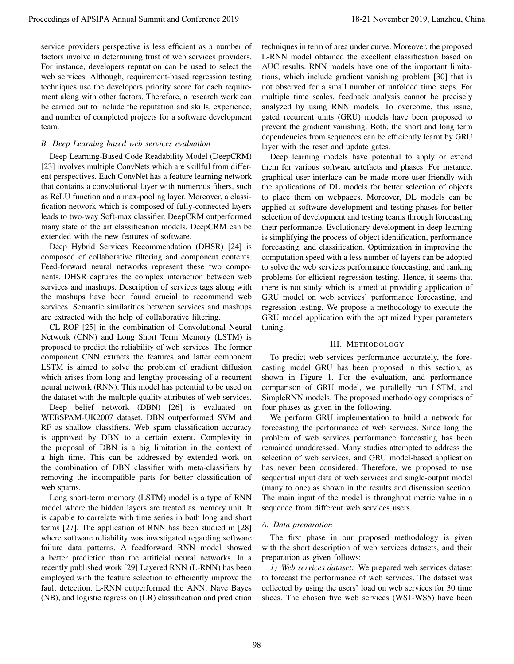service providers perspective is less efficient as a number of factors involve in determining trust of web services providers. For instance, developers reputation can be used to select the web services. Although, requirement-based regression testing techniques use the developers priority score for each requirement along with other factors. Therefore, a research work can be carried out to include the reputation and skills, experience, and number of completed projects for a software development team.

## *B. Deep Learning based web services evaluation*

Deep Learning-Based Code Readability Model (DeepCRM) [23] involves multiple ConvNets which are skillful from different perspectives. Each ConvNet has a feature learning network that contains a convolutional layer with numerous filters, such as ReLU function and a max-pooling layer. Moreover, a classification network which is composed of fully-connected layers leads to two-way Soft-max classifier. DeepCRM outperformed many state of the art classification models. DeepCRM can be extended with the new features of software.

Deep Hybrid Services Recommendation (DHSR) [24] is composed of collaborative filtering and component contents. Feed-forward neural networks represent these two components. DHSR captures the complex interaction between web services and mashups. Description of services tags along with the mashups have been found crucial to recommend web services. Semantic similarities between services and mashups are extracted with the help of collaborative filtering.

CL-ROP [25] in the combination of Convolutional Neural Network (CNN) and Long Short Term Memory (LSTM) is proposed to predict the reliability of web services. The former component CNN extracts the features and latter component LSTM is aimed to solve the problem of gradient diffusion which arises from long and lengthy processing of a recurrent neural network (RNN). This model has potential to be used on the dataset with the multiple quality attributes of web services.

Deep belief network (DBN) [26] is evaluated on WEBSPAM-UK2007 dataset. DBN outperformed SVM and RF as shallow classifiers. Web spam classification accuracy is approved by DBN to a certain extent. Complexity in the proposal of DBN is a big limitation in the context of a high time. This can be addressed by extended work on the combination of DBN classifier with meta-classifiers by removing the incompatible parts for better classification of web spams.

Long short-term memory (LSTM) model is a type of RNN model where the hidden layers are treated as memory unit. It is capable to correlate with time series in both long and short terms [27]. The application of RNN has been studied in [28] where software reliability was investigated regarding software failure data patterns. A feedforward RNN model showed a better prediction than the artificial neural networks. In a recently published work [29] Layered RNN (L-RNN) has been employed with the feature selection to efficiently improve the fault detection. L-RNN outperformed the ANN, Nave Bayes (NB), and logistic regression (LR) classification and prediction

techniques in term of area under curve. Moreover, the proposed L-RNN model obtained the excellent classification based on AUC results. RNN models have one of the important limitations, which include gradient vanishing problem [30] that is not observed for a small number of unfolded time steps. For multiple time scales, feedback analysis cannot be precisely analyzed by using RNN models. To overcome, this issue, gated recurrent units (GRU) models have been proposed to prevent the gradient vanishing. Both, the short and long term dependencies from sequences can be efficiently learnt by GRU layer with the reset and update gates.

Deep learning models have potential to apply or extend them for various software artefacts and phases. For instance, graphical user interface can be made more user-friendly with the applications of DL models for better selection of objects to place them on webpages. Moreover, DL models can be applied at software development and testing phases for better selection of development and testing teams through forecasting their performance. Evolutionary development in deep learning is simplifying the process of object identification, performance forecasting, and classification. Optimization in improving the computation speed with a less number of layers can be adopted to solve the web services performance forecasting, and ranking problems for efficient regression testing. Hence, it seems that there is not study which is aimed at providing application of GRU model on web services' performance forecasting, and regression testing. We propose a methodology to execute the GRU model application with the optimized hyper parameters tuning. Proceeding to APSIPA annual Summit and the second in the second in the New York (1990) in the New York (1990) in the New York (1990) in the New York (1990) in the New York (1990) in the New York (1990) in the New York (19

#### III. METHODOLOGY

To predict web services performance accurately, the forecasting model GRU has been proposed in this section, as shown in Figure 1. For the evaluation, and performance comparison of GRU model, we parallelly run LSTM, and SimpleRNN models. The proposed methodology comprises of four phases as given in the following.

We perform GRU implementation to build a network for forecasting the performance of web services. Since long the problem of web services performance forecasting has been remained unaddressed. Many studies attempted to address the selection of web services, and GRU model-based application has never been considered. Therefore, we proposed to use sequential input data of web services and single-output model (many to one) as shown in the results and discussion section. The main input of the model is throughput metric value in a sequence from different web services users.

# *A. Data preparation*

The first phase in our proposed methodology is given with the short description of web services datasets, and their preparation as given follows:

*1) Web services dataset:* We prepared web services dataset to forecast the performance of web services. The dataset was collected by using the users' load on web services for 30 time slices. The chosen five web services (WS1-WS5) have been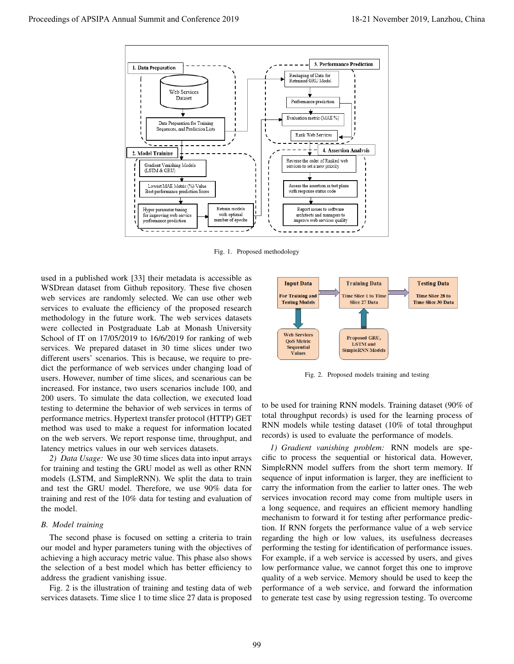

Fig. 1. Proposed methodology

used in a published work [33] their metadata is accessible as WSDrean dataset from Github repository. These five chosen web services are randomly selected. We can use other web services to evaluate the efficiency of the proposed research methodology in the future work. The web services datasets were collected in Postgraduate Lab at Monash University School of IT on 17/05/2019 to 16/6/2019 for ranking of web services. We prepared dataset in 30 time slices under two different users' scenarios. This is because, we require to predict the performance of web services under changing load of users. However, number of time slices, and scenarious can be increased. For instance, two users scenarios include 100, and 200 users. To simulate the data collection, we executed load testing to determine the behavior of web services in terms of performance metrics. Hypertext transfer protocol (HTTP) GET method was used to make a request for information located on the web servers. We report response time, throughput, and latency metrics values in our web services datasets.

*2) Data Usage:* We use 30 time slices data into input arrays for training and testing the GRU model as well as other RNN models (LSTM, and SimpleRNN). We split the data to train and test the GRU model. Therefore, we use 90% data for training and rest of the 10% data for testing and evaluation of the model.

# *B. Model training*

The second phase is focused on setting a criteria to train our model and hyper parameters tuning with the objectives of achieving a high accuracy metric value. This phase also shows the selection of a best model which has better efficiency to address the gradient vanishing issue.

Fig. 2 is the illustration of training and testing data of web services datasets. Time slice 1 to time slice 27 data is proposed



Fig. 2. Proposed models training and testing

to be used for training RNN models. Training dataset (90% of total throughput records) is used for the learning process of RNN models while testing dataset (10% of total throughput records) is used to evaluate the performance of models.

*1) Gradient vanishing problem:* RNN models are specific to process the sequential or historical data. However, SimpleRNN model suffers from the short term memory. If sequence of input information is larger, they are inefficient to carry the information from the earlier to latter ones. The web services invocation record may come from multiple users in a long sequence, and requires an efficient memory handling mechanism to forward it for testing after performance prediction. If RNN forgets the performance value of a web service regarding the high or low values, its usefulness decreases performing the testing for identification of performance issues. For example, if a web service is accessed by users, and gives low performance value, we cannot forget this one to improve quality of a web service. Memory should be used to keep the performance of a web service, and forward the information to generate test case by using regression testing. To overcome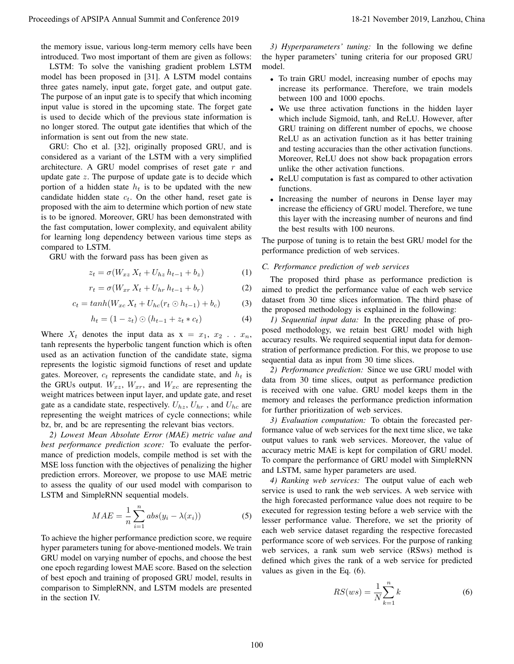the memory issue, various long-term memory cells have been introduced. Two most important of them are given as follows:

LSTM: To solve the vanishing gradient problem LSTM model has been proposed in [31]. A LSTM model contains three gates namely, input gate, forget gate, and output gate. The purpose of an input gate is to specify that which incoming input value is stored in the upcoming state. The forget gate is used to decide which of the previous state information is no longer stored. The output gate identifies that which of the information is sent out from the new state.

GRU: Cho et al. [32], originally proposed GRU, and is considered as a variant of the LSTM with a very simplified architecture. A GRU model comprises of reset gate r and update gate  $z$ . The purpose of update gate is to decide which portion of a hidden state  $h_t$  is to be updated with the new candidate hidden state  $c_t$ . On the other hand, reset gate is proposed with the aim to determine which portion of new state is to be ignored. Moreover, GRU has been demonstrated with the fast computation, lower complexity, and equivalent ability for learning long dependency between various time steps as compared to LSTM. Proceed by the formula summit and proceeding the formula of the formula of the formula of the formula of the formula of the formula of the formula of the formula of the formula of the formula of the formula of the formula

GRU with the forward pass has been given as

$$
z_t = \sigma(W_{xz} X_t + U_{hz} h_{t-1} + b_z)
$$
 (1)

$$
r_t = \sigma(W_{xr} X_t + U_{hr} h_{t-1} + b_r)
$$
 (2)

$$
c_t = \tanh(W_{xc} X_t + U_{hc}(r_t \odot h_{t-1}) + b_c) \tag{3}
$$

$$
h_t = (1 - z_t) \odot (h_{t-1} + z_t * c_t)
$$
 (4)

Where  $X_t$  denotes the input data as  $x = x_1, x_2 \dots x_n$ , tanh represents the hyperbolic tangent function which is often used as an activation function of the candidate state, sigma represents the logistic sigmoid functions of reset and update gates. Moreover,  $c_t$  represents the candidate state, and  $h_t$  is the GRUs output.  $W_{xz}$ ,  $W_{xr}$ , and  $W_{xc}$  are representing the weight matrices between input layer, and update gate, and reset gate as a candidate state, respectively.  $U_{hz}$ ,  $U_{hr}$ , and  $U_{hc}$  are representing the weight matrices of cycle connections; while bz, br, and bc are representing the relevant bias vectors.

*2) Lowest Mean Absolute Error (MAE) metric value and best performance prediction score:* To evaluate the performance of prediction models, compile method is set with the MSE loss function with the objectives of penalizing the higher prediction errors. Moreover, we propose to use MAE metric to assess the quality of our used model with comparison to LSTM and SimpleRNN sequential models.

$$
MAE = \frac{1}{n} \sum_{i=1}^{n} abs(y_i - \lambda(x_i))
$$
 (5)

To achieve the higher performance prediction score, we require hyper parameters tuning for above-mentioned models. We train GRU model on varying number of epochs, and choose the best one epoch regarding lowest MAE score. Based on the selection of best epoch and training of proposed GRU model, results in comparison to SimpleRNN, and LSTM models are presented in the section IV.

*3) Hyperparameters' tuning:* In the following we define the hyper parameters' tuning criteria for our proposed GRU model.

- To train GRU model, increasing number of epochs may increase its performance. Therefore, we train models between 100 and 1000 epochs.
- We use three activation functions in the hidden layer which include Sigmoid, tanh, and ReLU. However, after GRU training on different number of epochs, we choose ReLU as an activation function as it has better training and testing accuracies than the other activation functions. Moreover, ReLU does not show back propagation errors unlike the other activation functions.
- ReLU computation is fast as compared to other activation functions.
- Increasing the number of neurons in Dense layer may increase the efficiency of GRU model. Therefore, we tune this layer with the increasing number of neurons and find the best results with 100 neurons.

The purpose of tuning is to retain the best GRU model for the performance prediction of web services.

#### *C. Performance prediction of web services*

The proposed third phase as performance prediction is aimed to predict the performance value of each web service dataset from 30 time slices information. The third phase of the proposed methodology is explained in the following:

*1) Sequential input data:* In the preceding phase of proposed methodology, we retain best GRU model with high accuracy results. We required sequential input data for demonstration of performance prediction. For this, we propose to use sequential data as input from 30 time slices.

*2) Performance prediction:* Since we use GRU model with data from 30 time slices, output as performance prediction is received with one value. GRU model keeps them in the memory and releases the performance prediction information for further prioritization of web services.

*3) Evaluation computation:* To obtain the forecasted performance value of web services for the next time slice, we take output values to rank web services. Moreover, the value of accuracy metric MAE is kept for compilation of GRU model. To compare the performance of GRU model with SimpleRNN and LSTM, same hyper parameters are used.

*4) Ranking web services:* The output value of each web service is used to rank the web services. A web service with the high forecasted performance value does not require to be executed for regression testing before a web service with the lesser performance value. Therefore, we set the priority of each web service dataset regarding the respective forecasted performance score of web services. For the purpose of ranking web services, a rank sum web service (RSws) method is defined which gives the rank of a web service for predicted values as given in the Eq. (6).

$$
RS(ws) = \frac{1}{N} \sum_{k=1}^{n} k \tag{6}
$$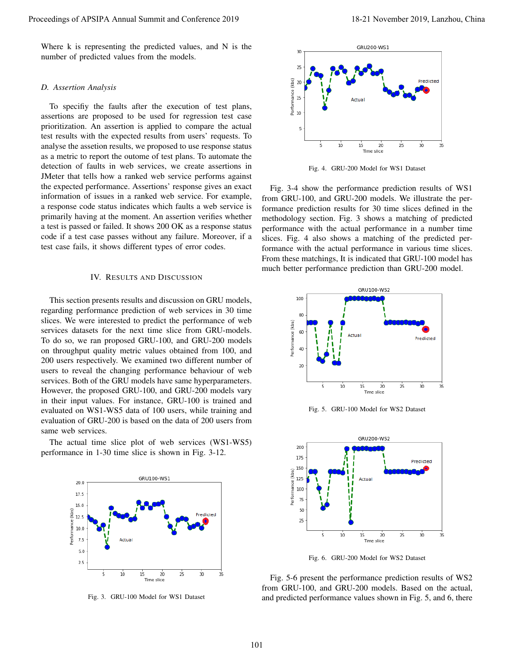Where k is representing the predicted values, and N is the number of predicted values from the models.

#### *D. Assertion Analysis*

To specifiy the faults after the execution of test plans, assertions are proposed to be used for regression test case prioritization. An assertion is applied to compare the actual test results with the expected results from users' requests. To analyse the assetion results, we proposed to use response status as a metric to report the outome of test plans. To automate the detection of faults in web services, we create assertions in JMeter that tells how a ranked web service performs against the expected performance. Assertions' response gives an exact information of issues in a ranked web service. For example, a response code status indicates which faults a web service is primarily having at the moment. An assertion verifies whether a test is passed or failed. It shows 200 OK as a response status code if a test case passes without any failure. Moreover, if a test case fails, it shows different types of error codes. Proceedings of APSIPA Annual Summit and Conference 2019<br>
The Version of APSIPA Annual Summit and Conference 2019<br>
20. A consiste of perfective chains the meaning of Fer also much and Conference 2019, and Conference 2019,

# IV. RESULTS AND DISCUSSION

This section presents results and discussion on GRU models, regarding performance prediction of web services in 30 time slices. We were interested to predict the performance of web services datasets for the next time slice from GRU-models. To do so, we ran proposed GRU-100, and GRU-200 models on throughput quality metric values obtained from 100, and 200 users respectively. We examined two different number of users to reveal the changing performance behaviour of web services. Both of the GRU models have same hyperparameters. However, the proposed GRU-100, and GRU-200 models vary in their input values. For instance, GRU-100 is trained and evaluated on WS1-WS5 data of 100 users, while training and evaluation of GRU-200 is based on the data of 200 users from same web services.

The actual time slice plot of web services (WS1-WS5) performance in 1-30 time slice is shown in Fig. 3-12.



Fig. 3. GRU-100 Model for WS1 Dataset



Fig. 4. GRU-200 Model for WS1 Dataset

Fig. 3-4 show the performance prediction results of WS1 from GRU-100, and GRU-200 models. We illustrate the performance prediction results for 30 time slices defined in the methodology section. Fig. 3 shows a matching of predicted performance with the actual performance in a number time slices. Fig. 4 also shows a matching of the predicted performance with the actual performance in various time slices. From these matchings, It is indicated that GRU-100 model has much better performance prediction than GRU-200 model.



Fig. 5. GRU-100 Model for WS2 Dataset



Fig. 6. GRU-200 Model for WS2 Dataset

Fig. 5-6 present the performance prediction results of WS2 from GRU-100, and GRU-200 models. Based on the actual, and predicted performance values shown in Fig. 5, and 6, there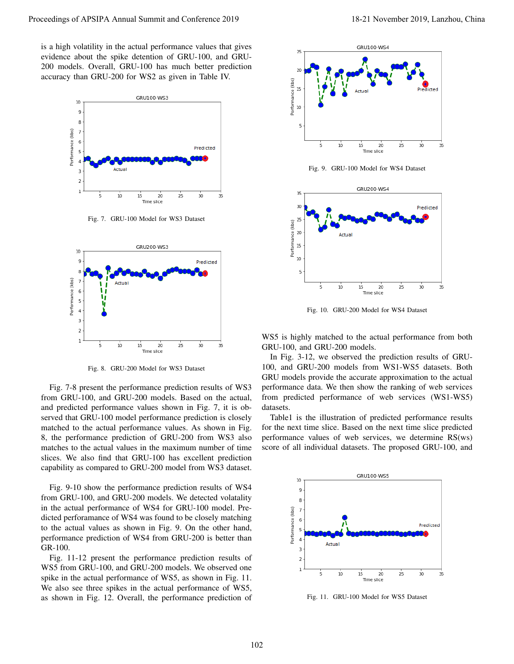is a high volatility in the actual performance values that gives evidence about the spike detention of GRU-100, and GRU-200 models. Overall, GRU-100 has much better prediction accuracy than GRU-200 for WS2 as given in Table IV.



Fig. 7. GRU-100 Model for WS3 Dataset



Fig. 8. GRU-200 Model for WS3 Dataset

Fig. 7-8 present the performance prediction results of WS3 from GRU-100, and GRU-200 models. Based on the actual, and predicted performance values shown in Fig. 7, it is observed that GRU-100 model performance prediction is closely matched to the actual performance values. As shown in Fig. 8, the performance prediction of GRU-200 from WS3 also matches to the actual values in the maximum number of time slices. We also find that GRU-100 has excellent prediction capability as compared to GRU-200 model from WS3 dataset.

Fig. 9-10 show the performance prediction results of WS4 from GRU-100, and GRU-200 models. We detected volatality in the actual performance of WS4 for GRU-100 model. Predicted perforamance of WS4 was found to be closely matching to the actual values as shown in Fig. 9. On the other hand, performance prediction of WS4 from GRU-200 is better than GR-100.

Fig. 11-12 present the performance prediction results of WS5 from GRU-100, and GRU-200 models. We observed one spike in the actual performance of WS5, as shown in Fig. 11. We also see three spikes in the actual performance of WS5, as shown in Fig. 12. Overall, the performance prediction of



Fig. 9. GRU-100 Model for WS4 Dataset



Fig. 10. GRU-200 Model for WS4 Dataset

WS5 is highly matched to the actual performance from both GRU-100, and GRU-200 models.

In Fig. 3-12, we observed the prediction results of GRU-100, and GRU-200 models from WS1-WS5 datasets. Both GRU models provide the accurate approximation to the actual performance data. We then show the ranking of web services from predicted performance of web services (WS1-WS5) datasets.

Table1 is the illustration of predicted performance results for the next time slice. Based on the next time slice predicted performance values of web services, we determine RS(ws) score of all individual datasets. The proposed GRU-100, and



Fig. 11. GRU-100 Model for WS5 Dataset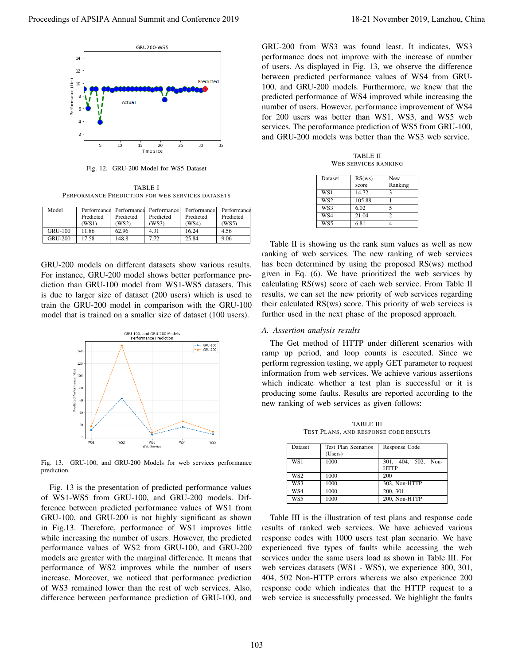

Fig. 12. GRU-200 Model for WS5 Dataset

TABLE I PERFORMANCE PREDICTION FOR WEB SERVICES DATASETS

| Model          | Performance |           | Performance Performance | Performance | Performance |
|----------------|-------------|-----------|-------------------------|-------------|-------------|
|                | Predicted   | Predicted | Predicted               | Predicted   | Predicted   |
|                | (WS1)       | WS2)      | (WS3)                   | (WS4)       | (WS5)       |
| <b>GRU-100</b> | 11.86       | 62.96     | 4.31                    | 16.24       | 4.56        |
| <b>GRU-200</b> | 17.58       | 148.8     | 7.72                    | 25.84       | 9.06        |

GRU-200 models on different datasets show various results. For instance, GRU-200 model shows better performance prediction than GRU-100 model from WS1-WS5 datasets. This is due to larger size of dataset (200 users) which is used to train the GRU-200 model in comparison with the GRU-100 model that is trained on a smaller size of dataset (100 users).



Fig. 13. GRU-100, and GRU-200 Models for web services performance prediction

Fig. 13 is the presentation of predicted performance values of WS1-WS5 from GRU-100, and GRU-200 models. Difference between predicted performance values of WS1 from GRU-100, and GRU-200 is not highly significant as shown in Fig.13. Therefore, performance of WS1 improves little while increasing the number of users. However, the predicted performance values of WS2 from GRU-100, and GRU-200 models are greater with the marginal difference. It means that performance of WS2 improves while the number of users increase. Moreover, we noticed that performance prediction of WS3 remained lower than the rest of web services. Also, difference between performance prediction of GRU-100, and Proceeding the contents of  $\alpha$  method in the contents of  $\alpha$  method in the contents of  $\alpha$  method in the contents of  $\alpha$  method in the contents of  $\alpha$  method in the contents of  $\alpha$  method in the contents of  $\alpha$  met

GRU-200 from WS3 was found least. It indicates, WS3 performance does not improve with the increase of number of users. As displayed in Fig. 13, we observe the difference between predicted performance values of WS4 from GRU-100, and GRU-200 models. Furthermore, we knew that the predicted performance of WS4 improved while increasing the number of users. However, performance improvement of WS4 for 200 users was better than WS1, WS3, and WS5 web services. The peroformance prediction of WS5 from GRU-100, and GRU-200 models was better than the WS3 web service.

TABLE II WEB SERVICES RANKING

| Dataset         | RS(ws) | New     |
|-----------------|--------|---------|
|                 | score  | Ranking |
| WS1             | 14.72  | 3       |
| WS <sub>2</sub> | 105.88 |         |
| WS3             | 6.02   | 5       |
| WS4             | 21.04  |         |
| WS5             | 6.81   |         |

Table II is showing us the rank sum values as well as new ranking of web services. The new ranking of web services has been determined by using the proposed RS(ws) method given in Eq. (6). We have prioritized the web services by calculating RS(ws) score of each web service. From Table II results, we can set the new priority of web services regarding their calculated RS(ws) score. This priority of web services is further used in the next phase of the proposed approach.

#### *A. Assertion analysis results*

The Get method of HTTP under different scenarios with ramp up period, and loop counts is esecuted. Since we perform regression testing, we apply GET parameter to request information from web services. We achieve various assertions which indicate whether a test plan is successful or it is producing some faults. Results are reported according to the new ranking of web services as given follows:

TABLE III TEST PLANS, AND RESPONSE CODE RESULTS

| <b>Dataset</b>  | Test Plan Scenarios<br>(Users) | Response Code                      |  |
|-----------------|--------------------------------|------------------------------------|--|
| WS1             | 1000                           | 301, 404, 502, Non-<br><b>HTTP</b> |  |
| WS <sub>2</sub> | 1000                           | 200                                |  |
| WS3             | 1000                           | 302. Non-HTTP                      |  |
| WS4             | 1000                           | 200, 301                           |  |
| WS5             | 1000                           | 200, Non-HTTP                      |  |

Table III is the illustration of test plans and response code results of ranked web services. We have achieved various response codes with 1000 users test plan scenario. We have experienced five types of faults while accessing the web services under the same users load as shown in Table III. For web services datasets (WS1 - WS5), we experience 300, 301, 404, 502 Non-HTTP errors whereas we also experience 200 response code which indicates that the HTTP request to a web service is successfully processed. We highlight the faults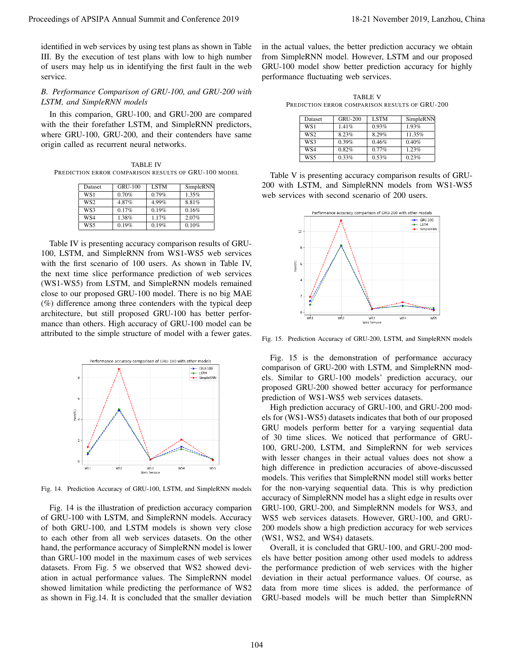identified in web services by using test plans as shown in Table III. By the execution of test plans with low to high number of users may help us in identifying the first fault in the web service.

# *B. Performance Comparison of GRU-100, and GRU-200 with LSTM, and SimpleRNN models*

In this comparion, GRU-100, and GRU-200 are compared with the their forefather LSTM, and SimpleRNN predictors, where GRU-100, GRU-200, and their contenders have same origin called as recurrent neural networks.

TABLE IV PREDICTION ERROR COMPARISON RESULTS OF GRU-100 MODEL

| Dataset         | <b>GRU-100</b> | <b>LSTM</b> | SimpleRNN |
|-----------------|----------------|-------------|-----------|
| WS1             | 0.70%          | 0.79%       | 1.35%     |
| WS <sub>2</sub> | 4.87%          | 4.99%       | 8.81%     |
| WS3             | 0.17%          | 0.19%       | 0.16%     |
| WS4             | 1.38%          | 1.17%       | 2.07%     |
| WS5             | 0.19%          | 0.19%       | 0.10%     |

Table IV is presenting accuracy comparison results of GRU-100, LSTM, and SimpleRNN from WS1-WS5 web services with the first scenario of 100 users. As shown in Table IV, the next time slice performance prediction of web services (WS1-WS5) from LSTM, and SimpleRNN models remained close to our proposed GRU-100 model. There is no big MAE (%) difference among three contenders with the typical deep architecture, but still proposed GRU-100 has better performance than others. High accuracy of GRU-100 model can be attributed to the simple structure of model with a fewer gates.



Fig. 14. Prediction Accuracy of GRU-100, LSTM, and SimpleRNN models

Fig. 14 is the illustration of prediction accuracy comparion of GRU-100 with LSTM, and SimpleRNN models. Accuracy of both GRU-100, and LSTM models is shown very close to each other from all web services datasets. On the other hand, the performance accuracy of SimpleRNN model is lower than GRU-100 model in the maximum cases of web services datasets. From Fig. 5 we observed that WS2 showed deviation in actual performance values. The SimpleRNN model showed limitation while predicting the performance of WS2 as shown in Fig.14. It is concluded that the smaller deviation in the actual values, the better prediction accuracy we obtain from SimpleRNN model. However, LSTM and our proposed GRU-100 model show better prediction accuracy for highly performance fluctuating web services.

TABLE V PREDICTION ERROR COMPARISON RESULTS OF GRU-200

| Dataset         | <b>GRU-200</b> | <b>LSTM</b> | SimpleRNN |
|-----------------|----------------|-------------|-----------|
| WS1             | 1.41%          | 0.93%       | 1.93%     |
| WS <sub>2</sub> | 8.23%          | 8.29%       | 11.35%    |
| WS3             | 0.39%          | 0.46%       | 0.40%     |
| WS4             | 0.82%          | $0.77\%$    | 1.23%     |
| WS5             | 0.33%          | 0.53%       | 0.23%     |

Table V is presenting accuracy comparison results of GRU-200 with LSTM, and SimpleRNN models from WS1-WS5 web services with second scenario of 200 users.



Fig. 15. Prediction Accuracy of GRU-200, LSTM, and SimpleRNN models

Fig. 15 is the demonstration of performance accuracy comparison of GRU-200 with LSTM, and SimpleRNN models. Similar to GRU-100 models' prediction accuracy, our proposed GRU-200 showed better accuracy for performance prediction of WS1-WS5 web services datasets.

High prediction accuracy of GRU-100, and GRU-200 models for (WS1-WS5) datasets indicates that both of our proposed GRU models perform better for a varying sequential data of 30 time slices. We noticed that performance of GRU-100, GRU-200, LSTM, and SimpleRNN for web services with lesser changes in their actual values does not show a high difference in prediction accuracies of above-discussed models. This verifies that SimpleRNN model still works better for the non-varying sequential data. This is why prediction accuracy of SimpleRNN model has a slight edge in results over GRU-100, GRU-200, and SimpleRNN models for WS3, and WS5 web services datasets. However, GRU-100, and GRU-200 models show a high prediction accuracy for web services (WS1, WS2, and WS4) datasets. Proceed by the Annual Summit and Summit and Summit and Summit and Summit and Summit and Summit and Summit and Summit and Summit and Summit and Summit and Summit and Summit and Summit and Summit and Summit and Summit and S

Overall, it is concluded that GRU-100, and GRU-200 models have better position among other used models to address the performance prediction of web services with the higher deviation in their actual performance values. Of course, as data from more time slices is added, the performance of GRU-based models will be much better than SimpleRNN